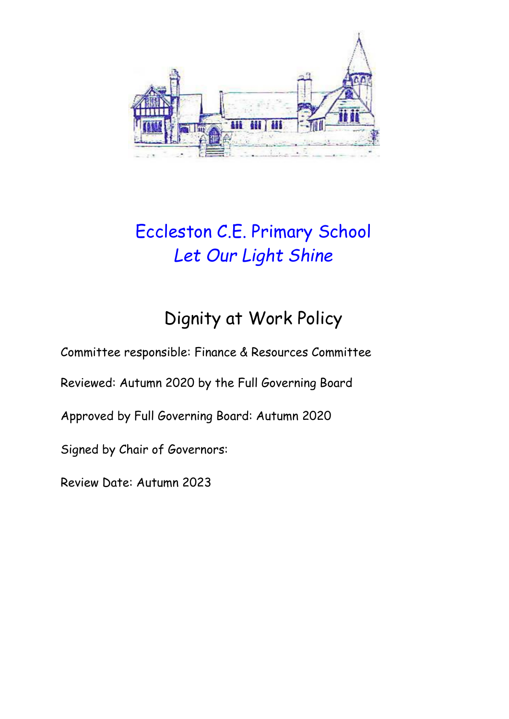

# Eccleston C.E. Primary School *Let Our Light Shine*

# Dignity at Work Policy

Committee responsible: Finance & Resources Committee

Reviewed: Autumn 2020 by the Full Governing Board

Approved by Full Governing Board: Autumn 2020

Signed by Chair of Governors:

Review Date: Autumn 2023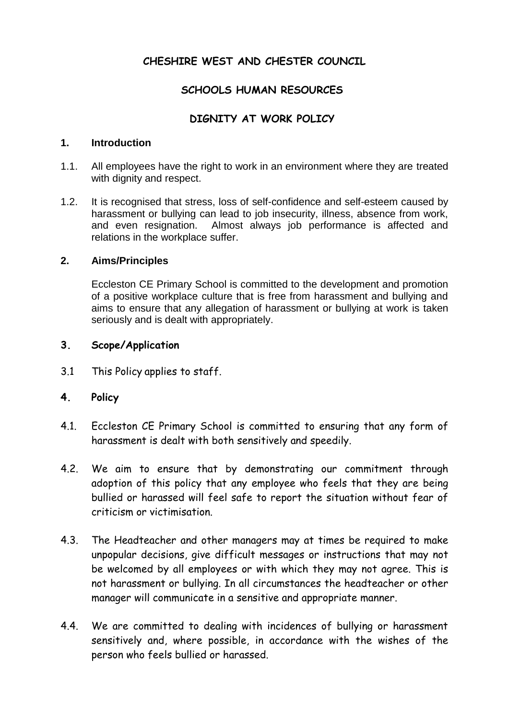## **CHESHIRE WEST AND CHESTER COUNCIL**

### **SCHOOLS HUMAN RESOURCES**

## **DIGNITY AT WORK POLICY**

#### **1. Introduction**

- 1.1. All employees have the right to work in an environment where they are treated with dignity and respect.
- 1.2. It is recognised that stress, loss of self-confidence and self-esteem caused by harassment or bullying can lead to job insecurity, illness, absence from work, and even resignation. Almost always job performance is affected and relations in the workplace suffer.

#### **2. Aims/Principles**

Eccleston CE Primary School is committed to the development and promotion of a positive workplace culture that is free from harassment and bullying and aims to ensure that any allegation of harassment or bullying at work is taken seriously and is dealt with appropriately.

#### **3. Scope/Application**

3.1 This Policy applies to staff.

#### **4. Policy**

- 4.1. Eccleston CE Primary School is committed to ensuring that any form of harassment is dealt with both sensitively and speedily.
- 4.2. We aim to ensure that by demonstrating our commitment through adoption of this policy that any employee who feels that they are being bullied or harassed will feel safe to report the situation without fear of criticism or victimisation.
- 4.3. The Headteacher and other managers may at times be required to make unpopular decisions, give difficult messages or instructions that may not be welcomed by all employees or with which they may not agree. This is not harassment or bullying. In all circumstances the headteacher or other manager will communicate in a sensitive and appropriate manner.
- 4.4. We are committed to dealing with incidences of bullying or harassment sensitively and, where possible, in accordance with the wishes of the person who feels bullied or harassed.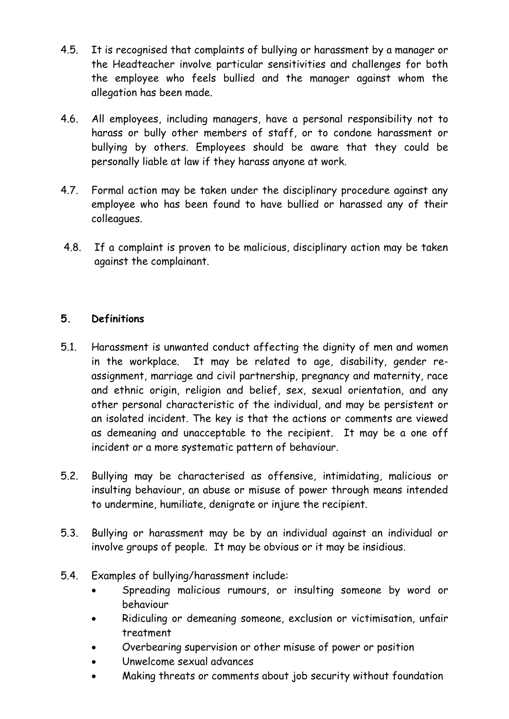- 4.5. It is recognised that complaints of bullying or harassment by a manager or the Headteacher involve particular sensitivities and challenges for both the employee who feels bullied and the manager against whom the allegation has been made.
- 4.6. All employees, including managers, have a personal responsibility not to harass or bully other members of staff, or to condone harassment or bullying by others. Employees should be aware that they could be personally liable at law if they harass anyone at work.
- 4.7. Formal action may be taken under the disciplinary procedure against any employee who has been found to have bullied or harassed any of their colleagues.
- 4.8. If a complaint is proven to be malicious, disciplinary action may be taken against the complainant.

### **5. Definitions**

- 5.1. Harassment is unwanted conduct affecting the dignity of men and women in the workplace. It may be related to age, disability, gender reassignment, marriage and civil partnership, pregnancy and maternity, race and ethnic origin, religion and belief, sex, sexual orientation, and any other personal characteristic of the individual, and may be persistent or an isolated incident. The key is that the actions or comments are viewed as demeaning and unacceptable to the recipient. It may be a one off incident or a more systematic pattern of behaviour.
- 5.2. Bullying may be characterised as offensive, intimidating, malicious or insulting behaviour, an abuse or misuse of power through means intended to undermine, humiliate, denigrate or injure the recipient.
- 5.3. Bullying or harassment may be by an individual against an individual or involve groups of people. It may be obvious or it may be insidious.
- 5.4. Examples of bullying/harassment include:
	- Spreading malicious rumours, or insulting someone by word or behaviour
	- Ridiculing or demeaning someone, exclusion or victimisation, unfair treatment
	- Overbearing supervision or other misuse of power or position
	- Unwelcome sexual advances
	- Making threats or comments about job security without foundation